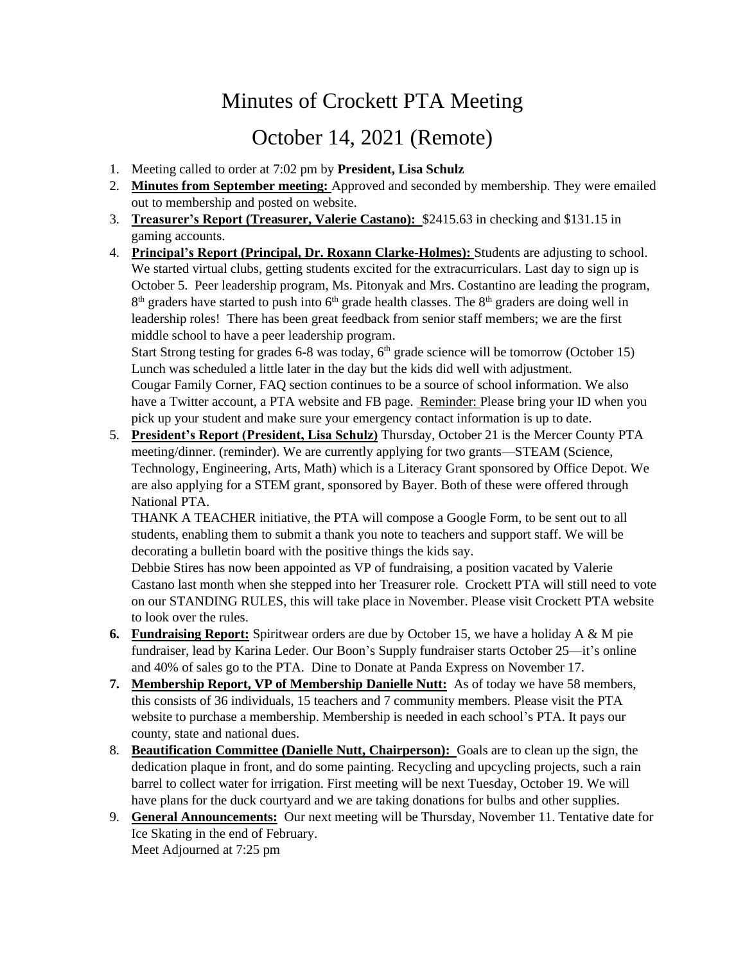## Minutes of Crockett PTA Meeting

## October 14, 2021 (Remote)

- 1. Meeting called to order at 7:02 pm by **President, Lisa Schulz**
- 2. **Minutes from September meeting:** Approved and seconded by membership. They were emailed out to membership and posted on website.
- 3. **Treasurer's Report (Treasurer, Valerie Castano):** \$2415.63 in checking and \$131.15 in gaming accounts.
- 4. **Principal's Report (Principal, Dr. Roxann Clarke-Holmes):** Students are adjusting to school. We started virtual clubs, getting students excited for the extracurriculars. Last day to sign up is October 5. Peer leadership program, Ms. Pitonyak and Mrs. Costantino are leading the program,  $8<sup>th</sup>$  graders have started to push into  $6<sup>th</sup>$  grade health classes. The  $8<sup>th</sup>$  graders are doing well in leadership roles! There has been great feedback from senior staff members; we are the first middle school to have a peer leadership program.

Start Strong testing for grades 6-8 was today,  $6<sup>th</sup>$  grade science will be tomorrow (October 15) Lunch was scheduled a little later in the day but the kids did well with adjustment. Cougar Family Corner, FAQ section continues to be a source of school information. We also have a Twitter account, a PTA website and FB page. Reminder: Please bring your ID when you pick up your student and make sure your emergency contact information is up to date.

5. **President's Report (President, Lisa Schulz)** Thursday, October 21 is the Mercer County PTA meeting/dinner. (reminder). We are currently applying for two grants—STEAM (Science, Technology, Engineering, Arts, Math) which is a Literacy Grant sponsored by Office Depot. We are also applying for a STEM grant, sponsored by Bayer. Both of these were offered through National PTA.

THANK A TEACHER initiative, the PTA will compose a Google Form, to be sent out to all students, enabling them to submit a thank you note to teachers and support staff. We will be decorating a bulletin board with the positive things the kids say.

Debbie Stires has now been appointed as VP of fundraising, a position vacated by Valerie Castano last month when she stepped into her Treasurer role. Crockett PTA will still need to vote on our STANDING RULES, this will take place in November. Please visit Crockett PTA website to look over the rules.

- **6. Fundraising Report:** Spiritwear orders are due by October 15, we have a holiday A & M pie fundraiser, lead by Karina Leder. Our Boon's Supply fundraiser starts October 25—it's online and 40% of sales go to the PTA. Dine to Donate at Panda Express on November 17.
- **7. Membership Report, VP of Membership Danielle Nutt:** As of today we have 58 members, this consists of 36 individuals, 15 teachers and 7 community members. Please visit the PTA website to purchase a membership. Membership is needed in each school's PTA. It pays our county, state and national dues.
- 8. **Beautification Committee (Danielle Nutt, Chairperson):** Goals are to clean up the sign, the dedication plaque in front, and do some painting. Recycling and upcycling projects, such a rain barrel to collect water for irrigation. First meeting will be next Tuesday, October 19. We will have plans for the duck courtyard and we are taking donations for bulbs and other supplies.
- 9. **General Announcements:** Our next meeting will be Thursday, November 11. Tentative date for Ice Skating in the end of February. Meet Adjourned at 7:25 pm